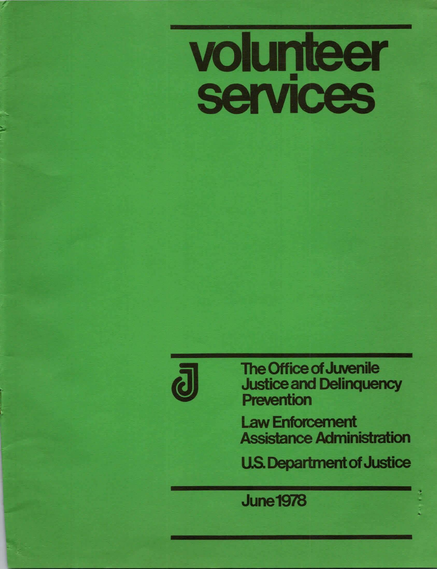# **volunteer**<br>services



,

• -

The Office of Juvenile Justice and Delinquency Prevention

Law Enforcement Assistance Administration

U.S. Department of Justice U.S. Department of June<br>1978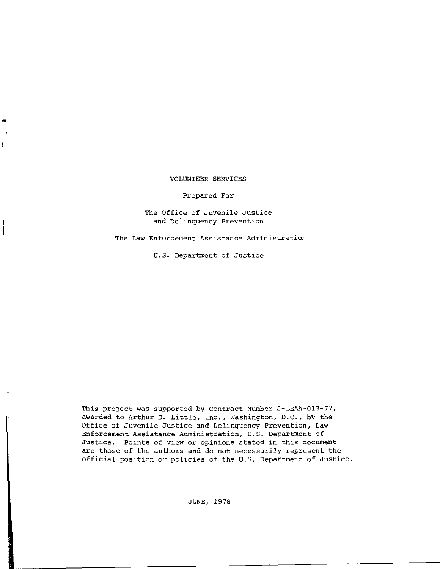# VOLUNTEER SERVICES

-

## Prepared For

# The Office of Juvenile Justice **and Delinquency Prevention**

**The Law Enforcement Assistance Administration** 

U.S. Department of Justice

This project was supported by Contract Number J-LEAA-013-77, awarded to Arthur D. Little, Inc., Washington, D.C., by the **Office of Juvenile Justice and Delinquency Prevention, Law Enforcement Assistance Administration,** U.S. **Department of Justice. Points of view or opinions stated in this document are those of the authors and do not necessarily represent the**  official position or policies of the U.S. Department of Justice.

JUNE, 1978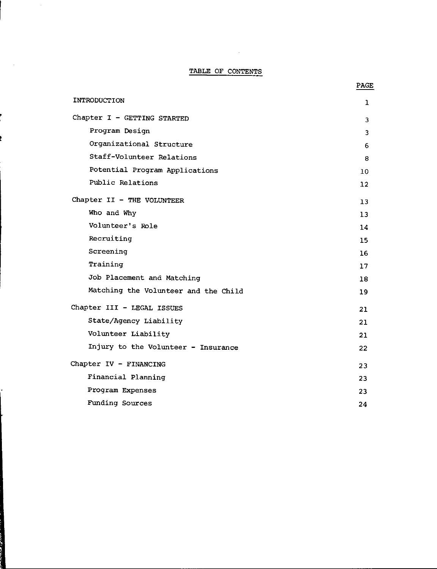# TABLE OF CONTENTS

#### INTRODUCTION Chapter I - GETTING STARTED Program Design Organizational Structure Staff-Volunteer Relations Potential Program Applications Public Relations Chapter II - THE VOLUNTEER Who and Why Volunteer's Role Recruiting Screening Training Job Placement and Matching Matching the Volunteer and the Child Chapter III - LEGAL ISSUES State/Agency Liability Volunteer Liability Injury to the Volunteer - Insurance Chapter IV - FINANCING Financial Planning **Program Expenses**  Funding Sources 1 3 3 6 8 10 12 13 13 14 15 16 17 18 19 21 21 21 22 23 23 23 24

PAGE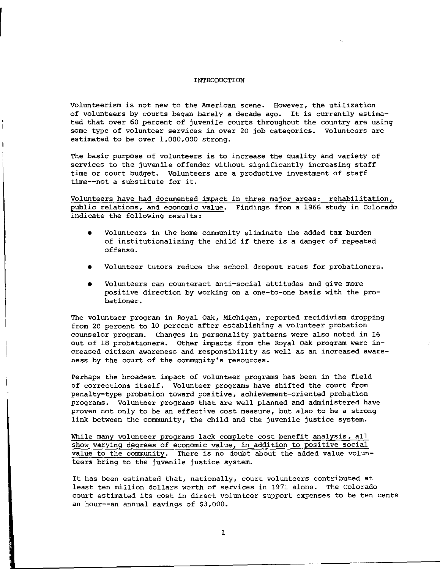#### INTRODUCTION

**Volunteerism is not new to the American scene. However, the utilization**  of volunteers by courts began barely a decade ago. It is currently estimated that over 60 percent of juvenile courts throughout the country are using some type of volunteer services in over 20 job categories. Volunteers are estimated to be over 1,000,000 strong.

The basic purpose of volunteers is to increase the quality and variety of services to the juvenile offender without significantly increasing staff time or court budget. Volunteers are a productive investment of staff time--not a substitute for it.

Volunteers have had documented impact in three major areas: rehabilitation, public relations, and economic value. Findings from a 1966 study in Colorado indicate the following results:

- Volunteers in the home community eliminate the added tax burden of institutionalizing the child if there **is a** danger of repeated offense.
- Volunteer tutors reduce the school dropout rates for probationers.
- Volunteers can counteract anti-social attitudes and give more positive direction by working on **a** one-to-one basis with the probationer.

The volunteer program in Royal Oak, Michigan, reported recidivism dropping from 20 percent to 10 percent after establishing a volunteer probation counselor program. Changes in personality patterns were also noted in 16 out of 18 probationers. Other impacts from the Royal Oak program were in**creased citizen awareness and responsibility as well as an increased aware**ness by the court of the community's resources.

Perhaps the broadest impact of volunteer programs has been in the field of corrections itself. Volunteer programs have shifted the court from penalty-type probation toward positive, achievement-oriented probation programs. Volunteer programs that are well planned and administered have proven not only to be an effective cost measure, but also to be a strong link between the community, the child and the juvenile justice system.

While many volunteer programs lack complete cost benefit analysis, all **show varying degrees of economic value, in addition to positive social**  value to the community. There is no doubt about the added value volunteers bring to the juvenile justice system.

It has been estimated that, nationally, court volunteers contributed at least ten million dollars worth of services in 1971 alone. The Colorado **court estimated its cost in direct volunteer support expenses to be ten cents**  an hour--an annual savings of \$3,000.

1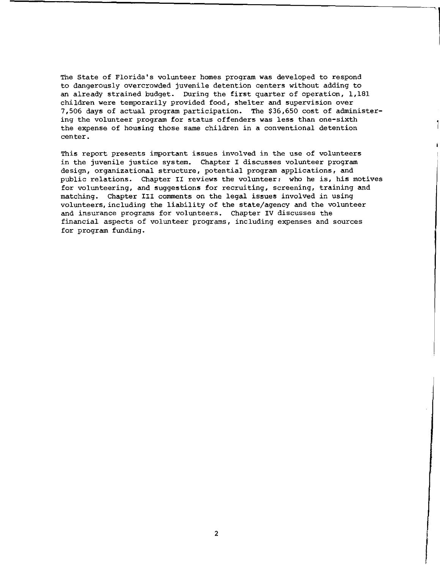The State of Florida's volunteer homes program was developed to respond to dangerously overcrowded juvenile detention centers without adding to an already strained budget. During the first quarter of operation, 1,181 children were temporarily provided food, shelter and supervision over 7,506 days of actual program participation. The \$36,650 cost of administering the volunteer program for status offenders was less than one-sixth the expense of housing those same children in a conventional detention center.

**This report presents important issues involved in the use of volunteers**  in the juvenile justice system. Chapter I discusses volunteer program design, organizational structure, potential program applications, and public relations. Chapter II reviews the volunteer: who he is, his motives **for volunteering, and suggestions for recruiting, screening, training and**  matching. Chapter III comments on the legal issues involved in using volunteers,including the liability of the state/agency and the volunteer and insurance programs for volunteers. Chapter IV discusses the **financial aspects of volunteer programs, including expenses and sources**  for program funding.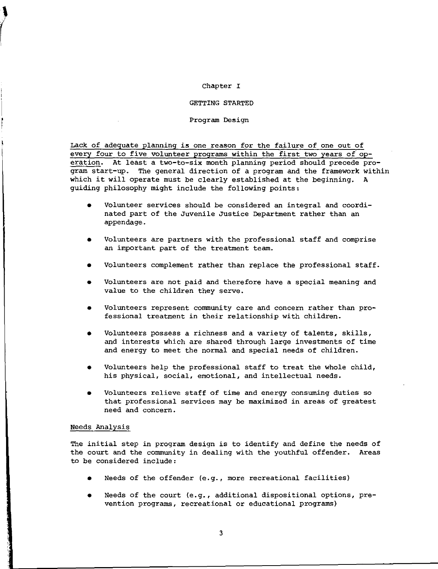## Chapter I

## GETTING STARTED

Program Design

Lack of adequate planning is one reason for the failure of one out of every four to five volunteer programs within the first two years of operation. At least a two-to-six month planning period should precede program start-up. The general direction of a program and the framework within which it will operate must be clearly established at the beginning. A guiding philosophy might include the following points,

- Volunteer services should be considered an integral and coordinated part of the Juvenile Justice Department rather than an appendage.
- Volunteers are partners with the professional staff and comprise an important part of the treatment team.
- Volunteers complement rather than replace the professional staff.
- Volunteers are not paid and therefore have a special meaning and value to the children they serve.
- Volunteers represent community care and concern rather than professional treatment in their relationship with children.
- Volunteers possess a richness and a variety of talents, skills, and interests which are shared through large investments of time and energy to meet the normal and special needs of children.
- Volunteers help the professional staff to treat the whole child, his physical, social, emotional, and intellectual needs.
- Volunteers relieve staff of time and energy consuming duties so that professional services may be maximized in areas of greatest **need and concern.**

# Needs Analysis

*(* 

The initial step in program design is to identify and define the needs of the court and the community in dealing with the youthful offender. Areas to be considered include:

- Needs of the offender  $(e.g.,$  more recreational facilities)
- Needs of the court (e.g., additional dispositional options, pre**vention programs, recreational or educational programs)**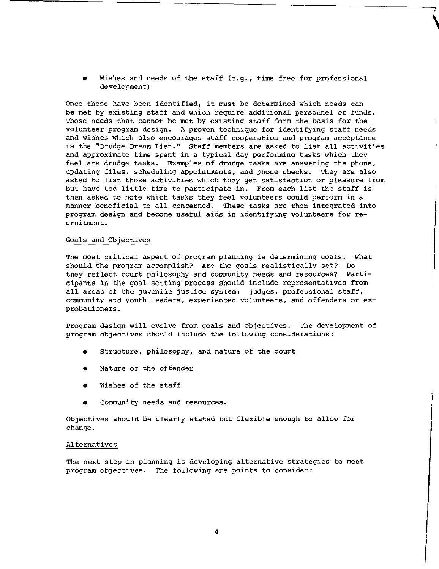Wishes and needs of the staff (e.g., time free for professional development)

Once these have been identified, it must be determined which needs can be met by existing staff and which require additional personnel or funds. Those needs that cannot be met by existing staff form the basis for the volunteer program design. A proven technique for identifying staff needs and wishes which also encourages staff cooperation and program acceptance is the "Drudge-Dream List." Staff members are asked to list all activities and approximate time spent in a typical day performing tasks which they feel are drudge tasks. Examples of drudge tasks are answering the phone, updating files, scheduling appointments, and phone checks. They are also asked to list those activities which they get satisfaction or pleasure from but have too little time to participate in. From each list the staff is then asked to note which tasks they feel volunteers could perform in a manner beneficial to all concerned. These tasks are then integrated into program design and become useful aids in identifying volunteers for recruitment.

### Goals and Objectives

The most critical aspect of program planning is determining goals. What should the program accomplish? Are the goals realistically set? Do they reflect court philosophy and community needs and resources? Participants in the goal setting process should include representatives from all areas of the juvenile justice system: judges, professional staff, community and youth leaders, experienced volunteers, and offenders or exprobationers.

Program design will evolve from goals and objectives. The development of program objectives should include the following considerations:

- Structure, philosophy, and nature of the court
- Nature of the offender
- Wishes of the staff
- **Community needs and resources.**

Objectives should be clearly stated but flexible enough to allow for change.

## Alternatives

The next step in planning is developing alternative strategies to meet program objectives. The following are points to consider: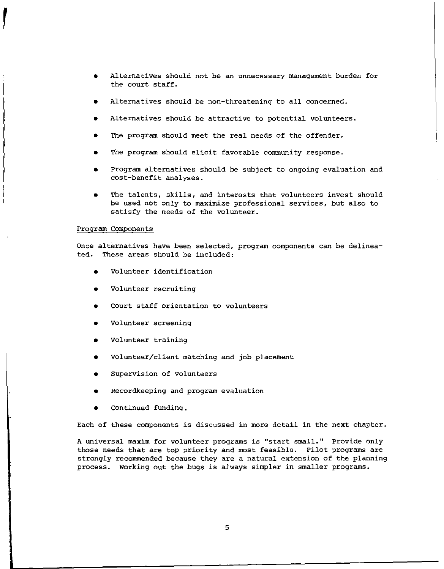- Alternatives should not be an unnecessary management burden for the court staff.
- Alternatives should be non-threatening to all concerned.
- Alternatives should be attractive to potential volunteers.
- The program should meet the real needs of the offender.
- The program should elicit favorable community response.
- Program alternatives should be subject to ongoing evaluation and cost-benefit analyses.
- The talents, skills, and interests that volunteers invest should be used not only to maximize professional services, but also to satisfy the needs of the volunteer.

## Program Components

Once alternatives have been selected, program components can be delineated. These areas should be included:

- volunteer identification
- Volunteer recruiting
- Court staff orientation to volunteers
- **Volunteer screening**
- Volunteer training
- Volunteer/client matching and job placement
- **Supervision of volunteers**
- Recordkeeping and program evaluation
- Continued funding.

Each of these components is discussed in more detail in the next chapter.

**A universal maxim for volunteer programs is "start small." Provide only**  those needs that are top priority and most feasible. Pilot programs are strongly recommended because they are a natural extension of the planning process. Working out the bugs is always simpler in smaller programs.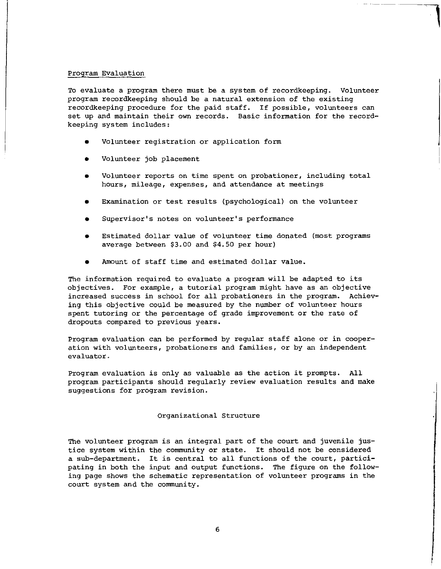#### Program Evaluation

To evaluate a program there must be a system of recordkeeping. Volunteer program recordkeeping should be a natural extension of the existing recordkeeping procedure for the paid staff. If possible, volunteers can set up and maintain their own records. Basic information for the recordkeeping system includes:

------ ----

**7** 

- Volunteer registration or application form
- Volunteer job placement
- Volunteer reports on time spent on probationer, including total **hours, mileage, expenses, and attendance at meetings**
- Examination or test results (psychological) on the volunteer
- **Supervisor's notes on volunteer's performance**
- Estimated dollar value of volunteer time donated (most programs average between \$3.00 and \$4.50 per hour}
- Amount of staff time and estimated dollar value.

The information required to evaluate a program will be adapted to its objectives. For example, a tutorial program might have as an objective increased success in school for all probationers in the program. Achieving this objective could be measured by the number of volunteer hours spent tutoring or the percentage of grade improvement or the rate of **dropouts compared to previous years.** 

Program evaluation can be performed by regular staff alone or in cooper**ation with volunteers, probationers and families, or by an independent evaluator.** 

Program evaluation is only as valuable as the action it prompts. program participants should regularly review evaluation results and make **suggestions for program revision.** 

#### Organizational Structure

The volunteer program is an integral part of the court and juvenile justice system within the community or state. It should not be considered a sub-department. It is central to all functions of the court, participating in both the input and output functions. The figure on the following page shows the schematic representation of volunteer programs in the court system and the community.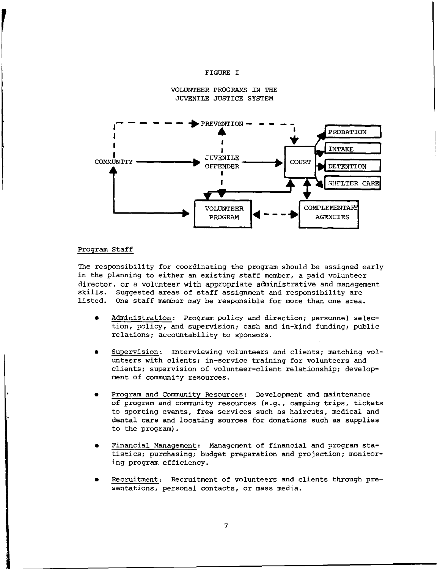## FIGURE I





## Program Staff

The responsibility for coordinating the program should be assigned early in the planning to either an existing staff member, a paid volunteer director, or a volunteer with appropriate administrative and management skills. Suggested areas of staff assignment and responsibility are listed. One staff member may be responsible for more than one area.

- Administration: Program policy and direction; personnel selec**tion, policy, and supervision; cash and in-kina funding; public relations; accountability to sponsors.**
- **Supervision: Interviewing volunteers and clients; matching volunteers with clients; in-service training for volunteers and**  clients; supervision of volunteer-client relationship; develop**ment of community resources.**
- Program and Community Resources: Development and maintenance of program and community resources {e.g., camping trips, tickets **to sporting events, free services such as haircuts, medical and**  dental care and locating sources for donations such as supplies to the program).
- Financial Management: Management of financial and program sta**tistics; purchasing; budget preparation and projection; monitor**ing program efficiency.
- Recruitment: Recruitment of volunteers and clients through pre**sentations, personal contacts, or mass media.**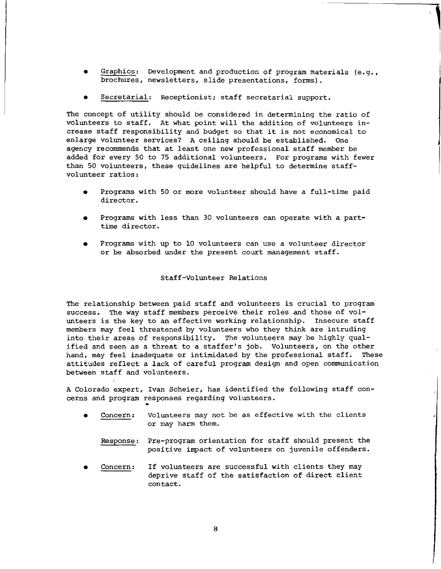- Graphics: Development and production of program materials (e.g., **brochures, newsletters, slide presentations, forms).**
- Secretarial: Receptionist; staff secretarial support.

The concept of utility should be considered in determining the ratio of volunteers to staff. At what point will the addition of volunteers increase staff responsibility and budget so that it is not economical to enlarge volunteer services? A ceiling should be established. One agency recommends that at least one new professional staff member be added for every 50 to 75 additional volunteers. For programs with fewer than 50 volunteers, these guidelines are helpful to determine staff**volunteer ratios:** 

- Programs with 50 or more volunteer should have a full-time paid **director.**
- Programs with less than 30 volunteers can operate with a part**time director.**
- Programs with up to 10 volunteers can use a volunteer director or be absorbed under the present court management staff.

## Staff-Volunteer Relations

The relationship between paid staff and volunteers is crucial to program success. The way staff members perceive their roles and those of volunteers is the key to an effective working relationship. Insecure staff members may feel threatened by volunteers who they think are intruding into their areas of responsibility. The volunteers may be highly qualified and seen as a threat to a staffer's job. Volunteers, on the other hand, may feel inadequate or intimidated by the professional staff. These attitudes reflect a lack of careful program design and open communication between staff and volunteers.

A Colorado expert, Ivan Scheier, has identified the following staff con**cerns and program responses regarding volunteers .**  •

- **Concern: Volunteers may not be as effective with the clients**  or may harm them.
	- Response: Pre-program orientation for staff should present the positive impact of volunteers on juvenile offenders.
- **Concern:** If volunteers are successful with clients they may deprive staff of the satisfaction of direct client contact.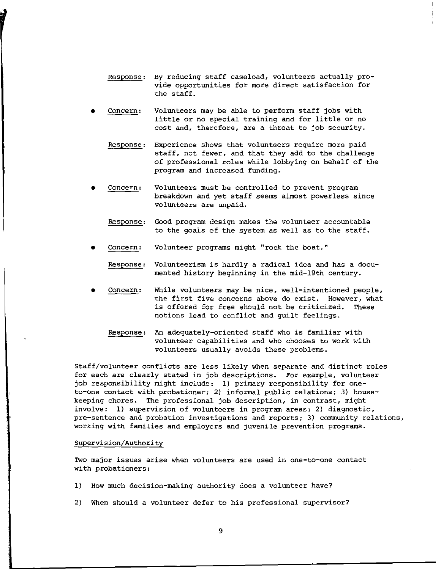- Response: By reducing staff caseload, volunteers actually provide opportunities for more direct satisfaction for the staff.
- **Concern:** Volunteers may be able to perform staff jobs with little or no special training and for little or no cost and, therefore, are a threat to job security.
	- Response: Experience shows that volunteers require more paid staff, not fewer, and that they add to the challenge of professional roles while lobbying on behalf of the program and increased funding.
- **Concern:** Volunteers must be controlled to prevent program breakdown and yet staff seems almost powerless since **volunteers are unpaid.** 
	- Response: Good program design makes the volunteer accountable to the goals of the system as well as to the staff.
- **Concern:** Volunteer programs might "rock the boat."

Response: Volunteerism is hardly a radical idea and has a documented history beginning in the mid-19th century.

- **Concern:** While volunteers may be nice, well-intentioned people, **the first five concerns above do exist. However, what**  is offered for free should not be criticized. These notions lead to conflict and guilt feelings.
	- Response: An adequately-oriented staff who is familiar with volunteer capabilities and who chooses to work with volunteers usually avoids these problems.

Staff/volunteer conflicts are less likely when separate and distinct roles for each are clearly stated in job descriptions. For example, volunteer job responsibility might include: 1) primary responsibility for oneto-one contact with probationer; 2) informal public relations; 3) housekeeping chores. The professional job description, in contrast, might involve: 1) supervision of volunteers in program areas; 2) diagnostic, pre-sentence and probation investigations and reports; 3) community relations, working with families and employers and juvenile prevention programs.

## Supervision/Authority

**Two major issues arise when volunteers are used in one-to-one contact**  with probationers:

- 1) How much decision-making authority does a volunteer have?
- 2) When should a volunteer defer to his professional supervisor?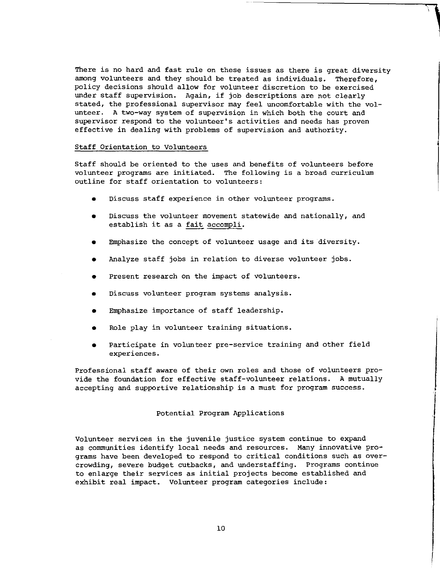There is no hard and fast rule on these issues as there is great diversity among volunteers and they should be treated as individuals. Therefore, policy decisions should allow for volunteer discretion to be exercised under staff supervision. Again, if job descriptions are not clearly stated, the professional supervisor may feel uncomfortable with the volunteer. A two-way system of supervision in which both the court and **supervisor respond to the volunteer's activities and needs has proven**  effective in dealing with problems of supervision and authority.

#### Staff Orientation to Volunteers

Staff should be oriented to the uses and benefits of volunteers before **volunteer programs are initiated. The following is a broad curriculum**  outline for staff orientation to volunteers:

- **Discuss staff experience in other volunteer programs.**
- **Discuss the volunteer movement statewide and nationally, and**  establish it as a fait accompli.
- Emphasize the concept of volunteer usage and its diversity.
- Analyze staff jobs in relation to diverse volunteer jobs.
- Present research on the impact of volunteers.
- **Discuss volunteer program systems analysis.**
- Emphasize importance of staff leadership.
- Role play in volunteer training situations.
- Participate in volunteer pre-service training and other field **experiences.**

Professional staff aware of their own roles and those of volunteers provide the foundation for effective staff-volunteer relations. A mutually accepting and supportive relationship is a must for program success.

## Potential Program Applications

**Volunteer services in the juvenile justice system continue to expand**  as communities identify local needs and resources. Many innovative programs have been developed to respond to critical conditions such as overcrowding, severe budget cutbacks, and understaffing. Programs continue to enlarge their services as initial projects become established and exhibit real impact. Volunteer program categories include: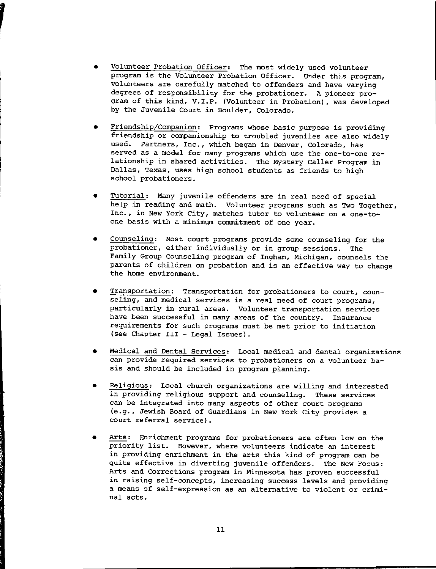- Volunteer Probation Officer: The most widely used volunteer program is the Volunteer Probation Officer. Under this program, volunteers are carefully matched to offenders and have varying degrees of responsibility for the probationer. A pioneer program of this kind, V.I.P. (Volunteer in Probation), was developed by the Juvenile Court in Boulder, Colorado.
- Friendship/Companion: Programs whose basic purpose is providing friendship or companionship to troubled juveniles are also widely **used. Partners, Inc., which began in Denver, Colorado, has**  served as a model for many programs which use the one-to-one relationship in shared activities. The Mystery Caller Program in Dallas, Texas, uses high school students as friends to high school probationers.
- Tutorial: Many juvenile offenders are in real need of special help in reading and math. Volunteer programs such as Two Together, Inc., in New York City, matches tutor to volunteer on a one-to**one basis with a minimum commitment of one year.**
- Counseling: Most court programs provide some counseling for the probationer, either individually or in group sessions. The Family Group Counseling program of Ingham, Michigan, counsels the parents of children on probation and is an effective way to change **the home environment.**
- **Transportation: Transportation for probationers to court, counseling, and medical services is a real need of court programs, particularly in rural areas. Volunteer transportation services**  have been successful in many areas of the country. Insurance **requirements for such programs must be met prior to initiation**  (see Chapter III - Legal Issues).
- Medical and Dental Services: Local medical and dental organizations **can provide required services to probationers on a volunteer ba** sis and should be included in program planning.
- Religious: Local church organizations are willing and interested in providing religious support and counseling. These services can be integrated into many aspects of other court programs (e.g., Jewish Board of Guardians in New York City provides a court referral service).
- Arts: Enrichment programs for probationers are often low on the **priority list. However, where volunteers indicate an interest**  in providing enrichment in the arts this kind of program can be quite effective in diverting juvenile offenders. The New Focus: Arts and Corrections program in Minnesota has proven successful **in raising self-concepts, increasing success levels and providing a means of self-expression as an alternative to violent or crimi**nal acts.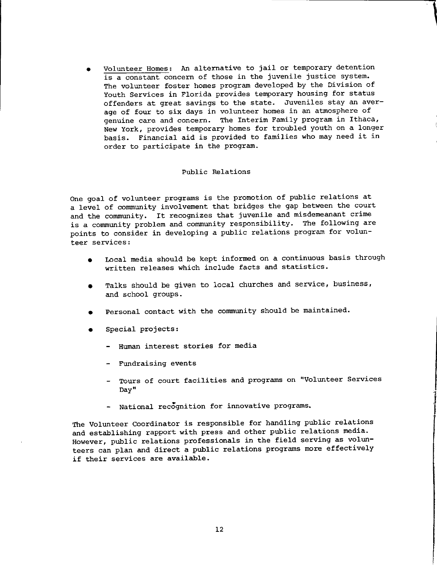• Volunteer Homes: An alternative to jail or temporary detention **is a constant concern of those in the juvenile justice system.**  The volunteer foster homes program developed by the Division of Youth Services in Florida provides temporary housing for status offenders at great savings to the state. Juveniles stay an average of four to six days in volunteer homes in an atmosphere of **genuine care and concern. The Interim Family program in Ithaca,**  New York, provides temporary homes for troubled youth on a longer basis. Financial aid is provided to families who may need it in order to participate in the program.

**Contract Contract Contract Contract Contract Contract Contract Contract Contract Contract Contract Contract Contract Contract Contract Contract Contract Contract Contract Contract Contract Contract Contract Contract Contr** 

## Public Relations

One goal of volunteer programs is the promotion of public relations at a level of community involvement that bridges the gap between the court and the community. It recognizes that juvenile and misdemeanant crime is a community problem and community responsibility. The following are points to consider in developing a public relations program for volun**teer services:** 

- Local media should be kept informed on a continuous basis through written releases which include facts and statistics.
- Talks should be given to local churches and service, business, and school groups.
- Personal contact with the community should be maintained.
- Special projects:
	- Human interest stories for media
	- Fundraising events
	- **Tours of court facilities and programs on "Volunteer Services Day"**
	- National recognition for innovative programs.

The Volunteer Coordinator is responsible for handling public relations and establishing rapport with press and other public relations media. However, public relations professionals in the field serving as volunteers can plan and direct a public relations programs more effectively if their services are available.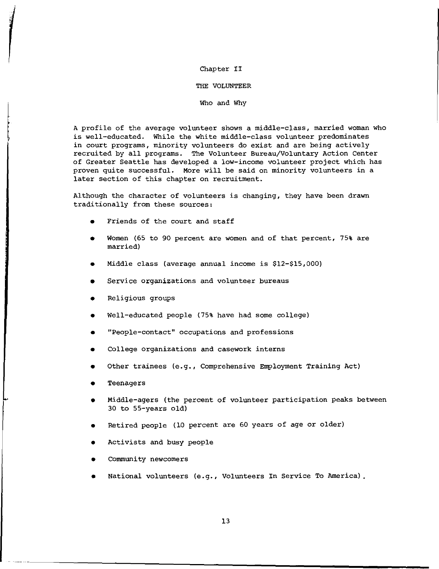# Chapter II

#### THE VOLUNTEER

#### Who and Why

A profile of the average volunteer shows a middle-class, married woman who is well-educated. While the white middle-class volunteer predominates in court programs, minority volunteers do exist and are being actively recruited by all programs. The Volunteer Bureau/Voluntary Action Center of Greater Seattle has developed a low-income volunteer project which has proven quite successful. More will be said on minority volunteers in a later section of this chapter on recruitment.

Although the character of volunteers is changing, they have been drawn traditionally from these sources:

- Friends of the court and staff
- Women (65 to 90 percent are women and of that percent, 75% are married)
- Middle class (average annual income is \$12-\$15,000)
- Service organizations and volunteer bureaus
- Religious groups
- Well-educated people (75% have had some college)
- **"People-contact" occupations and professions**
- College organizations and casework interns
- Other trainees (e.g., Comprehensive Employment Training Act)
- **Teenagers**
- Middle-agers (the percent of volunteer participation peaks between 30 to 55-years old)
- Retired people (10 percent are 60 years of age or older)
- Activists and busy people
- **Community newcomers**
- National volunteers (e.g., Volunteers In Service To America).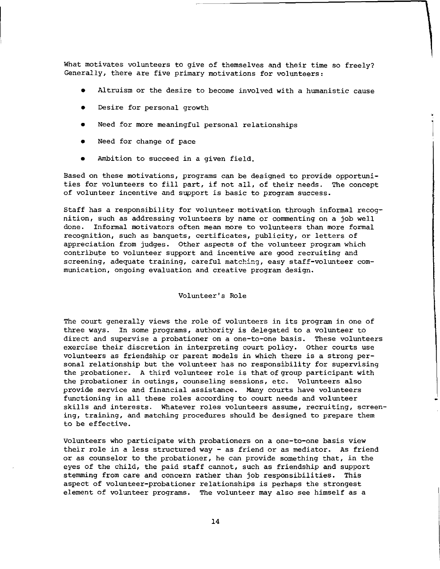What motivates volunteers to give of themselves and their time so freely? **Generally, there are five primary motivations for volunteers:** 

- Altruism or the desire to become involved with a humanistic cause
- Desire for personal growth
- Need for more meaningful personal relationships
- Need for change of pace
- Ambition to succeed in a given field.

Based on these motivations, programs can be designed to provide opportunities for volunteers to fill part, if not all, of their needs. The concept **of volunteer incentive and support is basic to program success.** 

Staff has a responsibility for volunteer motivation through informal recognition, such as addressing volunteers by name or commenting on a job well done. Informal motivators often mean more to volunteers than more formal **recognition, such as banquets, certificates, publicity, or letters of**  appreciation from judges. Other aspects of the volunteer program which contribute to volunteer support and incentive are good recruiting and **screening, adequate training, careful matching, easy staff-volunteer communication, ongoing evaluation and creative program design.** 

Volunteer's Role

The court generally views the role of volunteers in its program in one of three ways. In some programs, authority is delegated to a volunteer to **direct and supervise a probationer on a one-to-one basis. These volunteers**  exercise their discretion in interpreting court policy. Other courts use volunteers as friendship or parent models in which there is a strong personal relationship but the volunteer has no responsibility for supervising the probationer. A third volunteer role is that of group participant with **the probationer in outings, counseling sessions, etc. Volunteers also provide service and financial assistance. Many courts have volunteers**  functioning in all these roles according to court needs and volunteer **skills and interests. Whatever roles volunteers assume, recruiting, screening, training, and matching procedures should be designed to prepare them**  to be effective.

volunteers who participate with probationers on a one-to-one basis view their role in a less structured way - as friend or as mediator. As friend or as counselor to the probationer, he can provide something that, in the eyes of the child, the paid staff cannot, such as friendship and support stemming from care and concern rather than job responsibilities. This aspect of volunteer-probationer relationships is perhaps the strongest element of volunteer programs. The volunteer may also see himself as a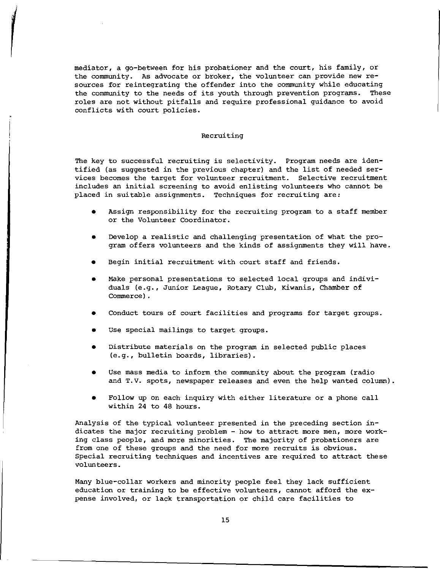mediator, a go-between for his probationer and the court, his family, or the community. As advocate or broker, the volunteer can provide new resources for reintegrating the offender into the community while educating the community to the needs of its youth through prevention programs. These roles are not without pitfalls and require professional guidance to avoid conflicts with court policies.

# Recruiting

The key to successful recruiting is selectivity. Program needs are identified (as suggested in the previous chapter} and the list of needed ser**vices becomes the target for volunteer recruitment. Selective recruitment includes an initial screening to avoid enlisting volunteers who cannot be**  placed in suitable assignments. Techniques for recruiting are:

- Assign responsibility for the recruiting program to a staff member or the Volunteer Coordinator.
- Develop a realistic and challenging presentation of what the program offers volunteers and the kinds of assignments they will have.
- Begin initial recruitment with court staff and friends.
- Make personal presentations to selected local groups and individuals (e.g., Junior League, Rotary Club, Kiwanis, Chamber of Commerce}.
- Conduct tours of court facilities and programs for target groups.
- Use special mailings to target groups.
- Distribute materials on the program in selected public places (e.g., bulletin boards, libraries).
- Use mass media to inform the community about the program (radio and T.V. spots, newspaper releases and even the help wanted column}.
- Follow up on each inquiry with either literature or a phone call within 24 to 48 hours.

Analysis of the typical volunteer presented in the preceding section in**dicates the major recruiting problem - how to attract more men, more working class people, and more minorities. The majority of probationers are**  from one of these groups and the need for more recruits is obvious. Special recruiting techniques and incentives are required to attract these volunteers.

Many blue-collar workers and minority people feel they lack sufficient education or training to be effective volunteers, cannot afford the expense involved, or lack transportation or child care facilities to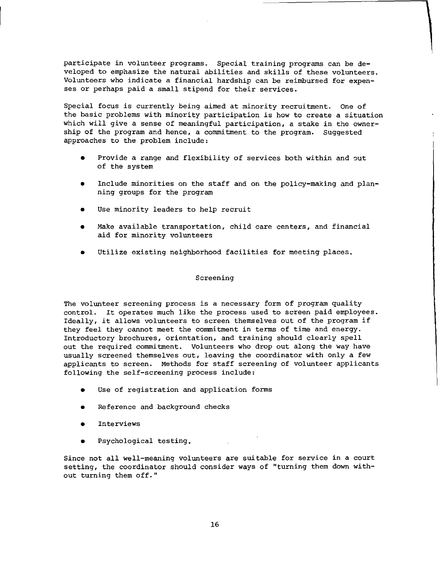participate in volunteer programs. Special training programs can be developed to emphasize the natural abilities and skills of these volunteers. Volunteers who indicate a financial hardship can be reimbursed for expenses or perhaps paid a small stipend for their services.

Special focus is currently being aimed at minority recruitment. One of the basic problems with minority participation is how to create a situation which will give a sense of meaningful participation, a stake in the ownership of the program and hence, a commitment to the program. Suggested approaches to the problem include:

- Provide a range and flexibility of services both within and out of the system
- Include minorities on the staff and on the policy-making and planning groups for the program
- Use minority leaders to help recruit
- **Make available transportation, child care centers, and financial aid for minority volunteers**
- Utilize existing neighborhood facilities for meeting places.

## Screening

The volunteer screening process is a necessary form of program quality control. It operates much like the process used to screen paid employees. Ideally, it allows volunteers to screen themselves out of the program if they feel they cannot meet the commitment in terms of time and energy. Introductory brochures, orientation, and training should clearly spell out the required commitment. Volunteers who drop out along the way have usually screened themselves out, leaving the coordinator with only a few applicants to screen. Methods for staff screening of volunteer applicants following the self-screening process include:

- Use of registration and application forms
- Reference and background checks
- **Interviews**
- Psychological testing.

Since not all well-meaning volunteers are suitable for service in a court setting, the coordinator should consider ways of "turning them down with**out turning them off."**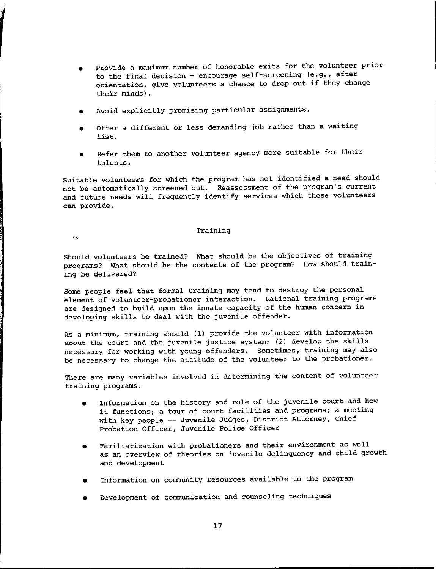- Provide a maximum number of honorable exits for the volunteer prior to the final decision - encourage self-screening (e.g., after orientation, give volunteers a chance to drop out if they change their minds).
- Avoid explicitly promising particular assignments.
- Offer a different or less demanding job rather than a waiting list.
- Refer them to another volunteer agency more suitable for their talents.

Suitable volunteers for which the program has not identified a need should not be automatically screened out. Reassessment of the program's current and future needs will frequently identify services which these volunteers can provide.

## **Training**

 $\epsilon_{\rm eff}$ 

Should volunteers be trained? What should be the objectives of training programs? What should be the contents of the program? How should training be delivered?

Some people feel that formal training may tend to destroy the personal **element of volunteer-probationer interaction. Rational training programs**  are designed to build upon the innate capacity of the human concern in developing skills to deal with the juvenile offender.

As a minimum, training should (1) provide the volunteer with information about the court and the juvenile justice system; (2) develop the skills necessary for working with young offenders. Sometimes, training may also be necessary to change the attitude of the volunteer to the probationer.

**There are many variables involved in determining the content of volunteer**  training programs.

- Information on the history and role of the juvenile court and how **it functions; a tour of court facilities and programs; a meeting**  with key people -- Juvenile Judges, District Attorney, Chief Probation Officer, Juvenile Police Officer
- **Familiarization with probationers and their environment as well**  as an overview of theories on juvenile delinquency and child growth and development
- Information on community resources available to the program
- Development of communication and counseling techniques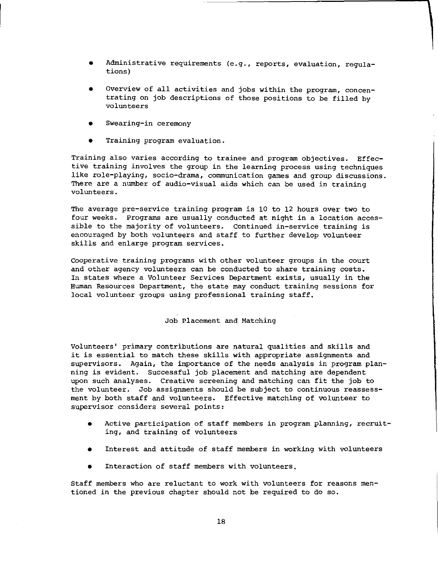- **Administrative requirements (e.g., reports, evaluation, regula**tions)
- Overview of all activities and jobs within the program, concentrating on job descriptions of those positions to be filled by **volunteers**
- **Swearing-in ceremony**
- **Training program evaluation.**

Training also varies according to trainee and program objectives. Effective training involves the group in the learning process using techniques **like role-playing, socio-drama, communication games and group discussions. There are a number of audio-visual aids which can be used in training volunteers.** 

The average pre-service training program is 10 to 12 hours over two to four weeks. Programs are usually conducted at night in a location accessible to the majority of volunteers. Continued in-service training is encouraged by both volunteers and staff to further develop volunteer skills and enlarge program services.

Cooperative training programs with other volunteer groups in the court and other agency volunteers can be conducted to share training costs. In states where a Volunteer Services Department exists, usually in the Human Resources Department, the state may conduct training sessions for local volunteer groups using professional training staff.

## Job Placement and Matching

Volunteers' primary contributions are natural qualities and skills and it is essential to match these skills with appropriate assignments and supervisors. Again, the importance of the needs analysis in program planning is evident. Successful job placement and matching are dependent upon such analyses. Creative screening and matching can fit the job to the volunteer. Job assignments should be subject to continuous reassessment by both staff and volunteers. Effective matching of volunteer to **supervisor considers several points:** 

- Active participation of staff members in program planning, recruit**ing, and training of volunteers**
- Interest and attitude of staff members in working with volunteers
- Interaction of staff members with volunteers.

Staff members who are reluctant to work with volunteers for reasons mentioned in the previous chapter should not be required to do so.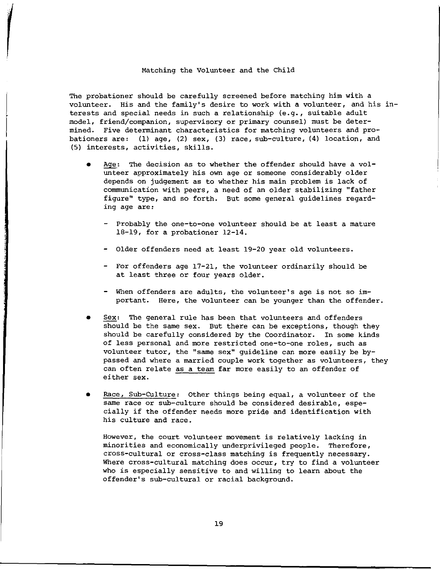#### Matching the Volunteer and the Child

The probationer should be carefully screened before matching him with a volunteer. His and the family's desire to work with a volunteer, and his interests and special needs in such a relationship (e.g., suitable adult model, friend/companion, supervisory or primary counsel) must be determined. Five determinant characteristics for matching volunteers and probationers are: (1) age, (2) sex, (3) race, sub-culture, (4) location, and (5) interests, activities, skills.

- Age: The decision as to whether the offender should have a volunteer approximately his own age or someone considerably older depends on judgement as to whether his main problem is lack of communication with peers, a need of an older stabilizing "father figure" type, and so forth. But some general guidelines regard**ing age are:** 
	- Probably the one-to-one volunteer should be at least a mature 18-19, for a probationer 12-14.
	- Older offenders need at least 19-20 year old volunteers.
	- For offenders age 17-21, the volunteer ordinarily should be at least three or four years older.
	- When offenders are adults, the volunteer's age is not so important. Here, the volunteer can be younger than the offender.
- Sex: The general rule has been that volunteers and offenders should be the same sex. But there can be exceptions, though they should be carefully considered by the Coordinator. In some kinds **of less personal and more restricted one-to-one roles, such as**  volunteer tutor, the "same sex" quideline can more easily be bypassed and where a married couple work together as volunteers, they can often relate as a team far more easily to an offender of either sex.
- Race, Sub-Culture: Other things being equal, a volunteer of the same race or sub-culture should be considered desirable, especially if the offender needs more pride and identification with his culture and race.

**However, the court volunteer movement is relatively lacking in**  minorities and economically underprivileged people. Therefore, cross-cultural or cross-class matching is frequently necessary. Where cross-cultural matching does occur, try to find a volunteer who is especially sensitive to and willing to learn about the offender's sub-cultural or racial background.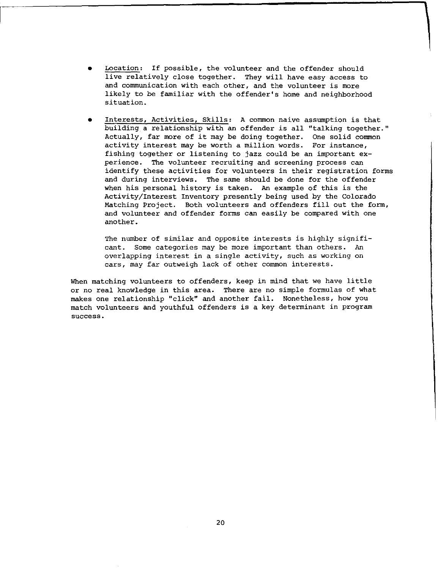- Location: If possible, the volunteer and the offender should live relatively close together. They will have easy access to **and communication with each other, and the volunteer is more**  likely to be familiar with the offender's home and neighborhood **situation.**
- **Interests, Activities, Skills: A common naive assumption is that**  building a relationship with an offender is all "talking together." Actually, far more of it may be doing together. One solid common activity interest may be worth a million words. For instance, fishing together or listening to jazz could be an important ex**perience. The volunteer recruiting and screening process can**  identify these activities for volunteers in their registration forms and during interviews. The same should be done for the offender when his personal history is taken. An example of this is the Activity/Interest Inventory presently being used by the Colorado Matching Project. Both volunteers and offenders fill out the form, and volunteer and offender forms can easily be compared with one another.

The number of similar and opposite interests is highly significant. Some categories may be more important than others. An **overlapping interest in a single activity, such as working on cars, may far outweigh lack of other common interests.** 

When matching volunteers to offenders, keep in mind that we have little or no real knowledge in this area. There are no simple formulas of what makes one relationship "click" and another fail. Nonetheless, how you match volunteers and youthful offenders is a key determinant in program **success.**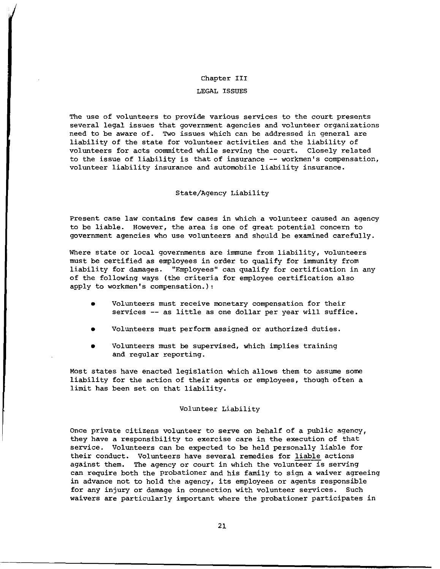#### Chapter III

### LEGAL ISSUES

The use of volunteers to provide various services to the court presents several legal issues that government agencies and volunteer organizations need to be aware of. Two issues which can be addressed in general are liability of the state for volunteer activities and the liability of volunteers for acts committed while serving the court. Closely related **to the issue of liability is that of insurance -- workmen's compensation,**  volunteer liability insurance and automobile liability insurance.

## State/Agency Liability

**Present case law contains few cases in which a volunteer caused an agency**  to be liable. However, the area is one of great potential concern to government agencies who use volunteers and should be examined carefully.

Where state or local governments are immune from liability, volunteers must be certified as employees in order to qualify for immunity from liability for damages. "Employees" can qualify for certification in any of the following ways (the criteria for employee certification also apply to workmen's compensation.):

- **Volunteers must receive monetary compensation for their**  services -- as little as one dollar per year will suffice.
- Volunteers must perform assigned or authorized duties.
- Volunteers must be supervised, which implies training and regular reporting.

Most states have enacted legislation which allows them to assume some liability for the action of their agents or employees, though often a limit has been set on that liability.

#### Volunteer Liability

Once private citizens volunteer to serve on behalf of a public agency, **they have a responsibility to exercise care in the execution of that**  service. Volunteers can be expected to be held personally liable for their conduct. Volunteers have several remedies for liable actions against them. The agency or court in which the volunteer is serving can require both the probationer and his family to sign a waiver agreeing in advance not to hold the agency, its employees or agents responsible for any injury or damage in connection with volunteer services. Such waivers are particularly important where the probationer participates in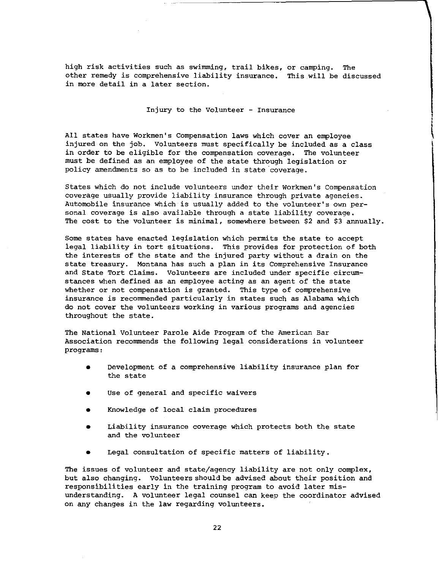high risk activities such as swinnning, trail bikes, or camping. The other remedy is comprehensive liability insurance. This will be discusse **in more detail in a later section.** 

# Injury to the Volunteer - Insurance

l I

All states have Workmen's Compensation laws which cover an employee injured on the job. Volunteers must specifically be included as a class in order to be eligible for the compensation coverage. The volunteer must be defined as an employee of the state through legislation or policy amendments so as to be included in state coverage.

States which do not include volunteers under their workmen's Compensation coverage usually provide liability insurance through private agencies. Automobile insurance which is usually added to the volunteer's own personal coverage is also available through a state liability coverage. The cost to the volunteer is minimal, somewhere between \$2 and \$3 annually.

Some states have enacted legislation which permits the state to accept iegal liability in tort situations. This provides for protection of both the interests of the state and the injured party without a drain on the state treasury. Montana has such a plan in its Comprehensive Insurance and State Tort Claims. Volunteers are included under specific circumstances when defined as an employee acting as an agent of the state whether or not compensation is granted. This type of comprehensive insurance is recommended particularly in states such as Alabama which do not cover the volunteers working in various programs and agencies throughout the state.

The National Volunteer Parole Aide Program of the American Bar Association recommends the following legal considerations in volunteer programs:

- Development of a comprehensive liability insurance plan for the state
- **Use of general and specific waivers**
- Knowledge of local claim procedures
- Liability insurance coverage which protects both the state and the volunteer
- Legal consultation of specific matters of liability.

The issues of volunteer and state/agency liability are not only complex, but also changing. volunteers should be advised about their position and responsibilities early in the training program to avoid later misunderstanding. A volunteer legal counsel can keep the coordinator advised on any changes in the law regarding volunteers.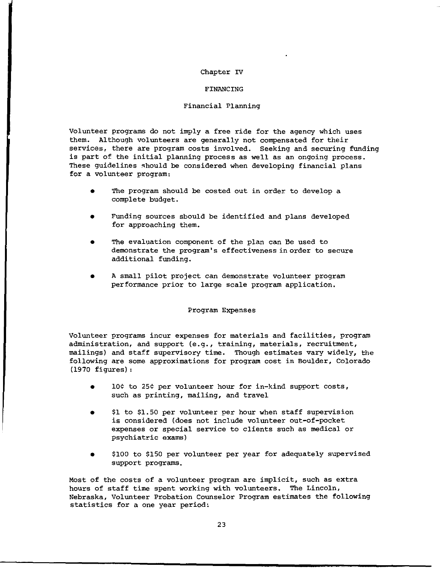## Chapter IV

## FINANCING

# Financial Planning

Volunteer programs do not imply a free ride for the agency which uses them. Although volunteers are generally not compensated for their services, there are program costs involved. Seeking and securing funding is part of the initial planning process as well as an ongoing process. These guidelines should be considered when developing financial plans for a volunteer program:

- The program should be costed out in order to develop a complete budget.
- Funding sources should be identified and plans developed for approaching them.
- The evaluation component of the plan can be used to demonstrate the program's effectivenessinorder to secure additional funding.
- A small pilot project can demonstrate volunteer program performance prior to large scale program application.

## Program Expenses

Volunteer programs incur expenses for materials and facilities, program **administration, and support (e.g., training, materials, recruitment,**  mailings) and staff supervisory time. Though estimates vary widely, the following are some approximations for program cost in Boulder, Colorado (1970 figures):

- 10¢ to 25¢ per volunteer hour for in-kind support costs, such as printing, mailing, and travel
- \$1 to \$1.50 per volunteer per hour when staff supervision is considered (does not include volunteer out-of-pocket **expenses or special service to clients such as medical or**  psychiatric exams)
- \$100 to \$150 per volunteer per year for adequately supervised support programs.

Most of the costs of a volunteer program are implicit, such as extra hours of staff time spent working with volunteers. The Lincoln, Nebraska, Volunteer Probation Counselor Program estimates the following statistics for a one year period: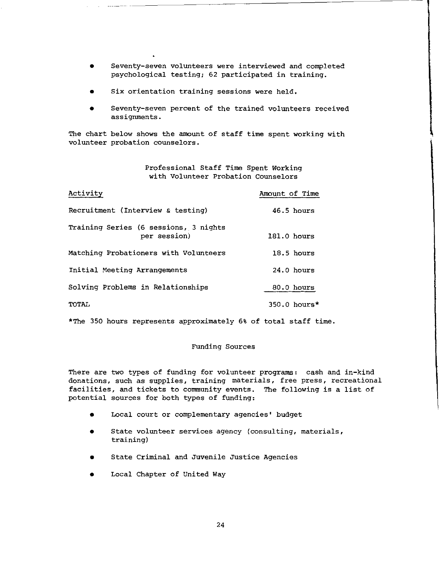- **Seventy-seven volunteers were interviewed and completed**  psychological testing; 62 participated in training,
- **Six orientation training sessions were held.**
- Seventy-seven percent of the trained volunteers received assignments.

The chart below shows the amount of staff time spent working with volunteer probation counselors.

> Professional Staff Time Spent Working with Volunteer Probation Counselors

| Activity                                              | Amount of Time |
|-------------------------------------------------------|----------------|
| Recruitment (Interview & testing)                     | $46.5$ hours   |
| Training Series (6 sessions, 3 nights<br>per session) | $181.0$ hours  |
| Matching Probationers with Volunteers                 | $18.5$ hours   |
| Initial Meeting Arrangements                          | $24.0$ hours   |
| Solving Problems in Relationships                     | 80.0 hours     |
| <b>TOTAL</b>                                          | $350.0$ hours* |

\*The 350 hours represents approximately 6% of total staff time,

## Funding Sources

There are two types of funding for volunteer programs: cash and in-kind **donations, such as supplies, training materials, free press, recreational**  facilities, and tickets to community events. The following is a list of potential sources for both types of funding:

- Local court or complementary agencies' budget
- **State volunteer services agency {consulting, materials,**  training)
- State Criminal and Juvenile Justice Agencies
- Local Chapter of United Way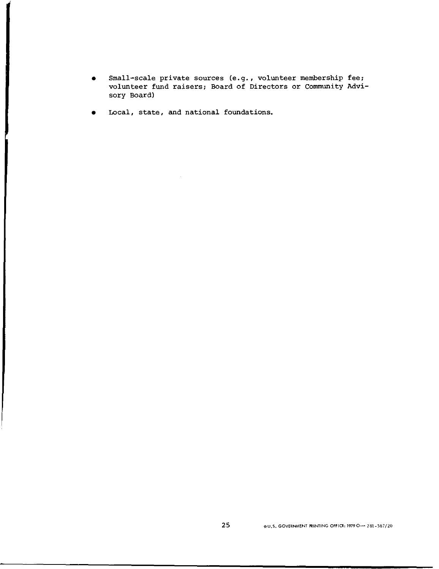- Small-scale private sources (e.g., volunteer membership fee; volunteer fund raisers; Board of Directors or Community Advisory Board)
- Local, state, and national foundations.

a series and the series of the series of the series of the series of the series of the series of the series of